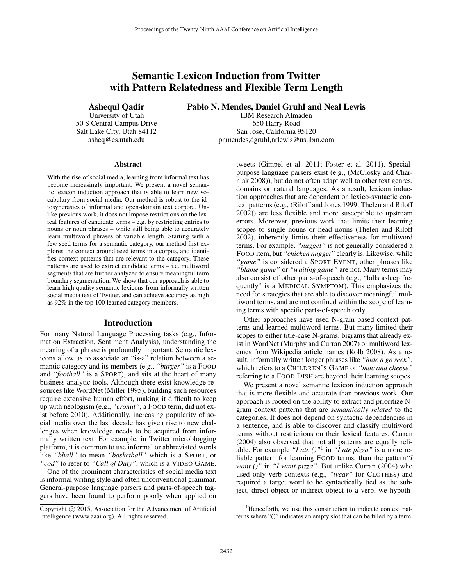# Semantic Lexicon Induction from Twitter with Pattern Relatedness and Flexible Term Length

Ashequl Qadir

University of Utah 50 S Central Campus Drive Salt Lake City, Utah 84112 asheq@cs.utah.edu

Pablo N. Mendes, Daniel Gruhl and Neal Lewis

IBM Research Almaden 650 Harry Road San Jose, California 95120 pnmendes,dgruhl,nrlewis@us.ibm.com

#### Abstract

With the rise of social media, learning from informal text has become increasingly important. We present a novel semantic lexicon induction approach that is able to learn new vocabulary from social media. Our method is robust to the idiosyncrasies of informal and open-domain text corpora. Unlike previous work, it does not impose restrictions on the lexical features of candidate terms – e.g. by restricting entries to nouns or noun phrases – while still being able to accurately learn multiword phrases of variable length. Starting with a few seed terms for a semantic category, our method first explores the context around seed terms in a corpus, and identifies context patterns that are relevant to the category. These patterns are used to extract candidate terms – i.e. multiword segments that are further analyzed to ensure meaningful term boundary segmentation. We show that our approach is able to learn high quality semantic lexicons from informally written social media text of Twitter, and can achieve accuracy as high as 92% in the top 100 learned category members.

#### Introduction

For many Natural Language Processing tasks (e.g., Information Extraction, Sentiment Analysis), understanding the meaning of a phrase is profoundly important. Semantic lexicons allow us to associate an "is-a" relation between a semantic category and its members (e.g., *"burger"* is a FOOD and *"football"* is a SPORT), and sits at the heart of many business analytic tools. Although there exist knowledge resources like WordNet (Miller 1995), building such resources require extensive human effort, making it difficult to keep up with neologism (e.g., *"cronut"*, a FOOD term, did not exist before 2010). Additionally, increasing popularity of social media over the last decade has given rise to new challenges when knowledge needs to be acquired from informally written text. For example, in Twitter microblogging platform, it is common to use informal or abbreviated words like *"bball"* to mean *"basketball"* which is a SPORT, or *"cod"* to refer to *"Call of Duty"*, which is a VIDEO GAME.

One of the prominent characteristics of social media text is informal writing style and often unconventional grammar. General-purpose language parsers and parts-of-speech taggers have been found to perform poorly when applied on

tweets (Gimpel et al. 2011; Foster et al. 2011). Specialpurpose language parsers exist (e.g., (McClosky and Charniak 2008)), but do not often adapt well to other text genres, domains or natural languages. As a result, lexicon induction approaches that are dependent on lexico-syntactic context patterns (e.g., (Riloff and Jones 1999; Thelen and Riloff 2002)) are less flexible and more susceptible to upstream errors. Moreover, previous work that limits their learning scopes to single nouns or head nouns (Thelen and Riloff 2002), inherently limits their effectiveness for multiword terms. For example, *"nugget"* is not generally considered a FOOD item, but *"chicken nugget"* clearly is. Likewise, while *"game"* is considered a SPORT EVENT, other phrases like *"blame game"* or *"waiting game"* are not. Many terms may also consist of other parts-of-speech (e.g., "falls asleep frequently" is a MEDICAL SYMPTOM). This emphasizes the need for strategies that are able to discover meaningful multiword terms, and are not confined within the scope of learning terms with specific parts-of-speech only.

Other approaches have used N-gram based context patterns and learned multiword terms. But many limited their scopes to either title-case N-grams, bigrams that already exist in WordNet (Murphy and Curran 2007) or multiword lexemes from Wikipedia article names (Kolb 2008). As a result, informally written longer phrases like *"hide n go seek"*, which refers to a CHILDREN'S GAME or *"mac and cheese"* referring to a FOOD DISH are beyond their learning scopes.

We present a novel semantic lexicon induction approach that is more flexible and accurate than previous work. Our approach is rooted on the ability to extract and prioritize Ngram context patterns that are *semantically related* to the categories. It does not depend on syntactic dependencies in a sentence, and is able to discover and classify multiword terms without restrictions on their lexical features. Curran (2004) also observed that not all patterns are equally reliable. For example "*I* ate  $()$ "<sup>1</sup> in "*I* ate pizza" is a more reliable pattern for learning FOOD terms, than the pattern*"I want ()"* in *"I want pizza"*. But unlike Curran (2004) who used only verb contexts (e.g., *"wear"* for CLOTHES) and required a target word to be syntactically tied as the subject, direct object or indirect object to a verb, we hypoth-

Copyright (c) 2015, Association for the Advancement of Artificial Intelligence (www.aaai.org). All rights reserved.

<sup>&</sup>lt;sup>1</sup>Henceforth, we use this construction to indicate context patterns where "()" indicates an empty slot that can be filled by a term.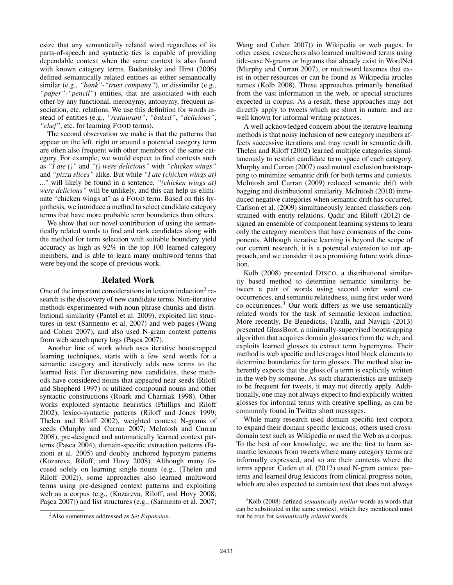esize that any semantically related word regardless of its parts-of-speech and syntactic ties is capable of providing dependable context when the same context is also found with known category terms. Budanitsky and Hirst (2006) defined semantically related entities as either semantically similar (e.g., *"bank"*-*"trust company"*), or dissimilar (e.g., *"paper"*-*"pencil"*) entities, that are associated with each other by any functional, meronymy, antonymy, frequent association, etc. relations. We use this definition for words instead of entities (e.g., *"restaurant"*, *"baked"*, *"delicious"*, *"chef"*, etc. for learning FOOD terms).

The second observation we make is that the patterns that appear on the left, right or around a potential category term are often also frequent with other members of the same category. For example, we would expect to find contexts such as *"I ate ()"* and *"() were delicious"* with *"chicken wings"* and *"pizza slices"* alike. But while *"I ate (chicken wings at) ..."* will likely be found in a sentence, *"(chicken wings at) were delicious"* will be unlikely, and this can help us eliminate "chicken wings at" as a FOOD term. Based on this hypothesis, we introduce a method to select candidate category terms that have more probable term boundaries than others.

We show that our novel contribution of using the semantically related words to find and rank candidates along with the method for term selection with suitable boundary yield accuracy as high as 92% in the top 100 learned category members, and is able to learn many multiword terms that were beyond the scope of previous work.

# Related Work

One of the important considerations in lexicon induction $2$  research is the discovery of new candidate terms. Non-iterative methods experimented with noun phrase chunks and distributional similarity (Pantel et al. 2009), exploited list structures in text (Sarmento et al. 2007) and web pages (Wang and Cohen 2007), and also used N-gram context patterns from web search query logs (Paşca 2007).

Another line of work which uses iterative bootstrapped learning techniques, starts with a few seed words for a semantic category and iteratively adds new terms to the learned lists. For discovering new candidates, these methods have considered nouns that appeared near seeds (Riloff and Shepherd 1997) or utilized compound nouns and other syntactic constructions (Roark and Charniak 1998). Other works exploited syntactic heuristics (Phillips and Riloff 2002), lexico-syntactic patterns (Riloff and Jones 1999; Thelen and Riloff 2002), weighted context N-grams of seeds (Murphy and Curran 2007; McIntosh and Curran 2008), pre-designed and automatically learned context patterns (Pasca 2004), domain-specific extraction patterns (Etzioni et al. 2005) and doubly anchored hyponym patterns (Kozareva, Riloff, and Hovy 2008). Although many focused solely on learning single nouns (e.g., (Thelen and Riloff 2002)), some approaches also learned multiword terms using pre-designed context patterns and exploiting web as a corpus (e.g., (Kozareva, Riloff, and Hovy 2008; Paşca 2007)) and list structures (e.g., (Sarmento et al. 2007;

Wang and Cohen 2007)) in Wikipedia or web pages. In other cases, researchers also learned multiword terms using title-case N-grams or bigrams that already exist in WordNet (Murphy and Curran 2007), or multiword lexemes that exist in other resources or can be found as Wikipedia articles names (Kolb 2008). These approaches primarily benefited from the vast information in the web, or special structures expected in corpus. As a result, these approaches may not directly apply to tweets which are short in nature, and are well known for informal writing practices.

A well acknowledged concern about the iterative learning methods is that noisy inclusion of new category members affects successive iterations and may result in semantic drift. Thelen and Riloff (2002) learned multiple categories simultaneously to restrict candidate term space of each category. Murphy and Curran (2007) used mutual exclusion bootstrapping to minimize semantic drift for both terms and contexts. McIntosh and Curran (2009) reduced semantic drift with bagging and distributional similarity. McIntosh (2010) introduced negative categories when semantic drift has occurred. Carlson et al. (2009) simultaneously learned classifiers constrained with entity relations. Qadir and Riloff (2012) designed an ensemble of component learning systems to learn only the category members that have consensus of the components. Although iterative learning is beyond the scope of our current research, it is a potential extension to our approach, and we consider it as a promising future work direction.

Kolb (2008) presented DISCO, a distributional similarity based method to determine semantic similarity between a pair of words using second order word cooccurrences, and semantic relatedness, using first order word co-occurrences.<sup>3</sup> Our work differs as we use semantically related words for the task of semantic lexicon induction. More recently, De Benedictis, Faralli, and Navigli (2013) presented GlassBoot, a minimally-supervised bootstrapping algorithm that acquires domain glossaries from the web, and exploits learned glosses to extract term hypernyms. Their method is web specific and leverages html block elements to determine boundaries for term glosses. The method also inherently expects that the gloss of a term is explicitly written in the web by someone. As such characteristics are unlikely to be frequent for tweets, it may not directly apply. Additionally, one may not always expect to find explicitly written glosses for informal terms with creative spelling, as can be commonly found in Twitter short messages.

While many research used domain specific text corpora to expand their domain specific lexicons, others used crossdomain text such as Wikipedia or used the Web as a corpus. To the best of our knowledge, we are the first to learn semantic lexicons from tweets where many category terms are informally expressed, and so are their contexts where the terms appear. Coden et al. (2012) used N-gram context patterns and learned drug lexicons from clinical progress notes, which are also expected to contain text that does not always

<sup>2</sup>Also sometimes addressed as *Set Expansion*.

<sup>3</sup>Kolb (2008) defined *semantically similar* words as words that can be substituted in the same context, which they mentioned must not be true for *semantically related* words.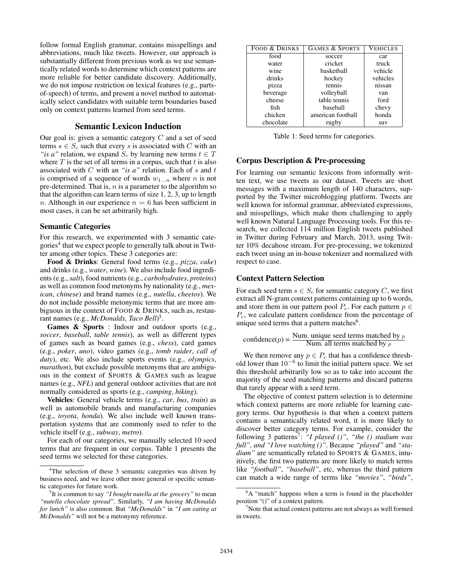follow formal English grammar, contains misspellings and abbreviations, much like tweets. However, our approach is substantially different from previous work as we use semantically related words to determine which context patterns are more reliable for better candidate discovery. Additionally, we do not impose restriction on lexical features (e.g., partsof-speech) of terms, and present a novel method to automatically select candidates with suitable term boundaries based only on context patterns learned from seed terms.

## Semantic Lexicon Induction

Our goal is: given a semantic category  $C$  and a set of seed terms  $s \in S_c$  such that every s is associated with C with an *"is a"* relation, we expand  $S_c$  by learning new terms  $t \in T$ where  $T$  is the set of all terms in a corpus, such that  $t$  is also associated with C with an *"is a"* relation. Each of s and t is comprised of a sequence of words  $w_{1...n}$  where n is not pre-determined. That is,  $n$  is a parameter to the algorithm so that the algorithm can learn terms of size 1, 2, 3, up to length n. Although in our experience  $n = 6$  has been sufficient in most cases, it can be set arbitrarily high.

### Semantic Categories

For this research, we experimented with 3 semantic categories<sup>4</sup> that we expect people to generally talk about in Twitter among other topics. These 3 categories are:

Food & Drinks: General food terms (e.g., *pizza*, *cake*) and drinks (e.g., *water*, *wine*). We also include food ingredients (e.g.,*salt*), food nutrients (e.g., *carbohydrates*, *proteins*) as well as common food metonyms by nationality (e.g., *mexican*, *chinese*) and brand names (e.g., *nutella*, *cheetos*). We do not include possible metonymic terms that are more ambiguous in the context of FOOD & DRINKS, such as, restaurant names (e.g., *McDonalds, Taco Bell*) 5 .

Games & Sports : Indoor and outdoor sports (e.g., *soccer*, *baseball*, *table tennis*), as well as different types of games such as board games (e.g., *chess*), card games (e.g., *poker*, *uno*), video games (e.g., *tomb raider*, *call of duty*), etc. We also include sports events (e.g., *olympics*, *marathon*), but exclude possible metonyms that are ambiguous in the context of SPORTS & GAMES such as league names (e.g., *NFL*) and general outdoor activities that are not normally considered as sports (e.g., *camping*, *hiking*).

Vehicles: General vehicle terms (e.g., *car*, *bus*, *train*) as well as automobile brands and manufacturing companies (e.g., *toyota*, *honda*). We also include well known transportation systems that are commonly used to refer to the vehicle itself (e.g., *subway*, *metro*).

For each of our categories, we manually selected 10 seed terms that are frequent in our corpus. Table 1 presents the seed terms we selected for these categories.

| FOOD & DRINKS | <b>GAMES &amp; SPORTS</b> | <b>VEHICLES</b> |
|---------------|---------------------------|-----------------|
| food          | soccer                    | car             |
| water         | cricket                   | truck           |
| wine          | basketball                | vehicle         |
| drinks        | hockey                    | vehicles        |
| pizza         | tennis                    | nissan          |
| beverage      | volleyball                | van             |
| cheese        | table tennis              | ford            |
| fish          | baseball                  | chevy           |
| chicken       | american football         | honda           |
| chocolate     | rugby                     | suv             |

Table 1: Seed terms for categories.

## Corpus Description & Pre-processing

For learning our semantic lexicons from informally written text, we use tweets as our dataset. Tweets are short messages with a maximum length of 140 characters, supported by the Twitter microblogging platform. Tweets are well known for informal grammar, abbreviated expressions, and misspellings, which make them challenging to apply well known Natural Language Processing tools. For this research, we collected 114 million English tweets published in Twitter during February and March, 2013, using Twitter 10% decahose stream. For pre-processing, we tokenized each tweet using an in-house tokenizer and normalized with respect to case.

## Context Pattern Selection

For each seed term  $s \in S_c$  for semantic category C, we first extract all N-gram context patterns containing up to 6 words, and store them in our pattern pool  $P_c$ . For each pattern  $p \in$  $P_c$ , we calculate pattern confidence from the percentage of unique seed terms that a pattern matches<sup>6</sup>.

confidence
$$
(p)
$$
 =  $\frac{\text{Num. unique seed terms matched by } p}{\text{Num. all terms matched by } p}$ 

We then remove any  $p \in P_c$  that has a confidence threshold lower than  $10^{-6}$  to limit the initial pattern space. We set this threshold arbitrarily low so as to take into account the majority of the seed matching patterns and discard patterns that rarely appear with a seed term.

The objective of context pattern selection is to determine which context patterns are more reliable for learning category terms. Our hypothesis is that when a context pattern contains a semantically related word, it is more likely to discover better category terms. For example, consider the following 3 patterns<sup>7</sup> : *"I played ()"*, *"the () stadium was full", and "I love watching ()"*. Because *"played"* and *"stadium"* are semantically related to SPORTS & GAMES, intuitively, the first two patterns are more likely to match terms like *"football"*, *"baseball"*, etc, whereas the third pattern can match a wide range of terms like *"movies"*, *"birds"*,

<sup>&</sup>lt;sup>4</sup>The selection of these 3 semantic categories was driven by business need, and we leave other more general or specific semantic categories for future work.

<sup>5</sup> It is common to say *"I bought nutella at the grocery"* to mean *"nutella chocolate spread"*. Similarly, *"I am having McDonalds for lunch"* is also common. But *"McDonalds"* in *"I am eating at McDonalds"* will not be a metonymy reference.

<sup>&</sup>lt;sup>6</sup>A "match" happens when a term is found in the placeholder position "()" of a context pattern.

<sup>7</sup>Note that actual context patterns are not always as well formed in tweets.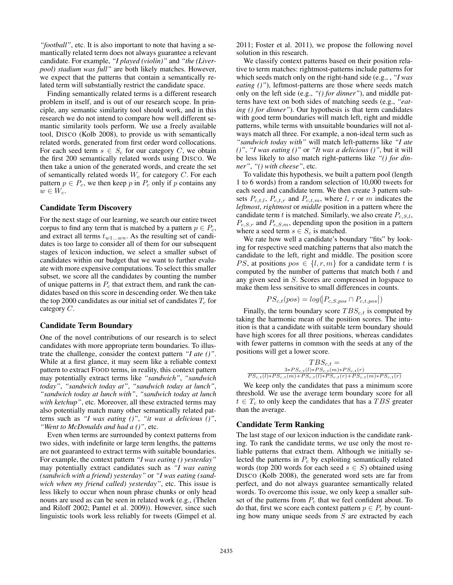*"football"*, etc. It is also important to note that having a semantically related term does not always guarantee a relevant candidate. For example, *"I played (violin)"* and *"the (Liverpool) stadium was full"* are both likely matches. However, we expect that the patterns that contain a semantically related term will substantially restrict the candidate space.

Finding semantically related terms is a different research problem in itself, and is out of our research scope. In principle, any semantic similarity tool should work, and in this research we do not intend to compare how well different semantic similarity tools perform. We use a freely available tool, DISCO (Kolb 2008), to provide us with semantically related words, generated from first order word collocations. For each seed term  $s \in S_c$  for our category C, we obtain the first 200 semantically related words using DISCO. We then take a union of the generated words, and create the set of semantically related words  $W_c$  for category  $C$ . For each pattern  $p \in P_c$ , we then keep p in  $P_c$  only if p contains any  $w \in W_c$ .

#### Candidate Term Discovery

For the next stage of our learning, we search our entire tweet corpus to find any term that is matched by a pattern  $p \in P_c$ , and extract all terms  $t_{w1...wm}$ . As the resulting set of candidates is too large to consider all of them for our subsequent stages of lexicon induction, we select a smaller subset of candidates within our budget that we want to further evaluate with more expensive computations. To select this smaller subset, we score all the candidates by counting the number of unique patterns in  $P_c$  that extract them, and rank the candidates based on this score in descending order. We then take the top 2000 candidates as our initial set of candidates  $T_c$  for category C.

## Candidate Term Boundary

One of the novel contributions of our research is to select candidates with more appropriate term boundaries. To illustrate the challenge, consider the context pattern *"I ate ()"*. While at a first glance, it may seem like a reliable context pattern to extract FOOD terms, in reality, this context pattern may potentially extract terms like *"sandwich"*, *"sandwich today"*, *"sandwich today at"*, *"sandwich today at lunch"*, *"sandwich today at lunch with"*, *"sandwich today at lunch with ketchup"*, etc. Moreover, all these extracted terms may also potentially match many other semantically related patterns such as *"I was eating ()"*, *"it was a delicious ()"*, *"Went to McDonalds and had a ()"*, etc.

Even when terms are surrounded by context patterns from two sides, with indefinite or large term lengths, the patterns are not guaranteed to extract terms with suitable boundaries. For example, the context pattern *"I was eating () yesterday"* may potentially extract candidates such as *"I was eating (sandwich with a friend) yesterday"* or *"I was eating (sandwich when my friend called) yesterday"*, etc. This issue is less likely to occur when noun phrase chunks or only head nouns are used as can be seen in related work (e.g., (Thelen and Riloff 2002; Pantel et al. 2009)). However, since such linguistic tools work less reliably for tweets (Gimpel et al.

2011; Foster et al. 2011), we propose the following novel solution in this research.

We classify context patterns based on their position relative to term matches: rightmost-patterns include patterns for which seeds match only on the right-hand side (e.g., , *"I was eating ()"*), leftmost-patterns are those where seeds match only on the left side (e.g., *"() for dinner"*), and middle patterns have text on both sides of matching seeds (e.g., *"eating () for dinner"*). Our hypothesis is that term candidates with good term boundaries will match left, right and middle patterns, while terms with unsuitable boundaries will not always match all three. For example, a non-ideal term such as *"sandwich today with"* will match left-patterns like *"I ate ()"*, *"I was eating ()"* or *"It was a delicious ()"*, but it will be less likely to also match right-patterns like *"() for dinner"*, *"() with cheese"*, etc.

To validate this hypothesis, we built a pattern pool (length 1 to 6 words) from a random selection of 10,000 tweets for each seed and candidate term. We then create 3 pattern subsets  $P_{c,t,l}$ ,  $P_{c,t,r}$  and  $P_{c,t,m}$ , where l, r or m indicates the *leftmost*, *rightmost* or *middle* position in a pattern where the candidate term t is matched. Similarly, we also create  $P_{c,S,l}$ ,  $P_{c,S,r}$  and  $P_{c,S,m}$ , depending upon the position in a pattern where a seed term  $s \in S_c$  is matched.

We rate how well a candidate's boundary "fits" by looking for respective seed matching patterns that also match the candidate to the left, right and middle. The position score *PS*, at positions  $pos \in \{l, r, m\}$  for a candidate term t is computed by the number of patterns that match both  $t$  and any given seed in S. Scores are compressed in logspace to make them less sensitive to small differences in counts.

$$
PS_{c,t}(pos) = log(P_{c,S,pos} \cap P_{c,t,pos}|)
$$

Finally, the term boundary score  $TBS_{c,t}$  is computed by taking the harmonic mean of the position scores. The intuition is that a candidate with suitable term boundary should have high scores for all three positions, whereas candidates with fewer patterns in common with the seeds at any of the positions will get a lower score.

$$
\frac{TBS_{c,t}}{PS_{c,t}(l)*PS_{c,t}(m)*PS_{c,t}(r)}
$$
  

$$
\frac{3*PS_{c,t}(l)*PS_{c,t}(m)*PS_{c,t}(r)}{PS_{c,t}(l)*PS_{c,t}(l)*PS_{c,t}(r)+PS_{c,t}(m)*PS_{c,t}(r)}
$$

We keep only the candidates that pass a minimum score threshold. We use the average term boundary score for all  $t \in T_c$  to only keep the candidates that has a  $TBS$  greater than the average.

#### Candidate Term Ranking

The last stage of our lexicon induction is the candidate ranking. To rank the candidate terms, we use only the most reliable patterns that extract them. Although we initially selected the patterns in  $P_c$  by exploiting semantically related words (top 200 words for each seed  $s \in S$ ) obtained using DISCO (Kolb 2008), the generated word sets are far from perfect, and do not always guarantee semantically related words. To overcome this issue, we only keep a smaller subset of the patterns from  $P_c$  that we feel confident about. To do that, first we score each context pattern  $p \in P_c$  by counting how many unique seeds from  $S$  are extracted by each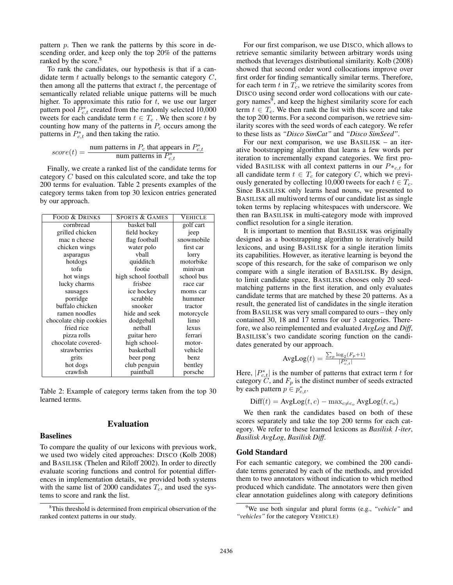pattern  $p$ . Then we rank the patterns by this score in descending order, and keep only the top 20% of the patterns ranked by the score.<sup>8</sup>

To rank the candidates, our hypothesis is that if a candidate term  $t$  actually belongs to the semantic category  $C$ , then among all the patterns that extract  $t$ , the percentage of semantically related reliable unique patterns will be much higher. To approximate this ratio for  $t$ , we use our larger pattern pool  $\widehat{P}_{c,t}^*$  created from the randomly selected 10,000 tweets for each candidate term  $t \in T_c$ . We then score t by counting how many of the patterns in  $P_c$  occurs among the patterns in  $P_{c,t}^*$  and then taking the ratio.

$$
score(t) = \frac{\text{num patterns in } P_c \text{ that appears in } P_{c,t}^*}{\text{num patterns in } P_{c,t}^*}
$$

Finally, we create a ranked list of the candidate terms for category C based on this calculated score, and take the top 200 terms for evaluation. Table 2 presents examples of the category terms taken from top 30 lexicon entries generated by our approach.

| <b>FOOD &amp; DRINKS</b> | <b>SPORTS &amp; GAMES</b> | <b>VEHICLE</b> |
|--------------------------|---------------------------|----------------|
| cornbread                | basket ball               | golf cart      |
| grilled chicken          | field hockey              | jeep           |
| mac n cheese             | flag football             | snowmobile     |
| chicken wings            | water polo                | first car      |
| asparagus                | vball                     | lorry          |
| hotdogs                  | quidditch                 | motorbike      |
| tofu                     | footie                    | minivan        |
| hot wings                | high school football      | school bus     |
| lucky charms             | frisbee                   | race car       |
| sausages                 | ice hockey                | moms car       |
| porridge                 | scrabble                  | hummer         |
| buffalo chicken          | snooker                   | tractor        |
| ramen noodles            | hide and seek             | motorcycle     |
| chocolate chip cookies   | dodgeball                 | limo           |
| fried rice               | nethall                   | lexus          |
| pizza rolls              | guitar hero               | ferrari        |
| chocolate covered-       | high school-              | motor-         |
| strawberries             | basketball                | vehicle        |
| grits                    | beer pong                 | benz           |
| hot dogs                 | club penguin              | bentley        |
| crawfish                 | paintball                 | porsche        |

Table 2: Example of category terms taken from the top 30 learned terms.

Evaluation

# Baselines

To compare the quality of our lexicons with previous work, we used two widely cited approaches: DISCO (Kolb 2008) and BASILISK (Thelen and Riloff 2002). In order to directly evaluate scoring functions and control for potential differences in implementation details, we provided both systems with the same list of 2000 candidates  $T_c$ , and used the systems to score and rank the list.

For our first comparison, we use DISCO, which allows to retrieve semantic similarity between arbitrary words using methods that leverages distributional similarity. Kolb (2008) showed that second order word collocations improve over first order for finding semantically similar terms. Therefore, for each term  $t$  in  $T_c$ , we retrieve the similarity scores from DISCO using second order word collocations with our category names<sup>9</sup>, and keep the highest similarity score for each term  $t \in T_c$ . We then rank the list with this score and take the top 200 terms. For a second comparison, we retrieve similarity scores with the seed words of each category. We refer to these lists as *"Disco SimCat"* and *"Disco SimSeed"*.

For our next comparison, we use BASILISK – an iterative bootstrapping algorithm that learns a few words per iteration to incrementally expand categories. We first provided BASILISK with all context patterns in our  $P*_c,t$  for all candidate term  $t \in T_c$  for category C, which we previously generated by collecting 10,000 tweets for each  $t \in T_c$ . Since BASILISK only learns head nouns, we presented to BASILISK all multiword terms of our candidate list as single token terms by replacing whitespaces with underscore. We then ran BASILISK in multi-category mode with improved conflict resolution for a single iteration.

It is important to mention that BASILISK was originally designed as a bootstrapping algorithm to iteratively build lexicons, and using BASILISK for a single iteration limits its capabilities. However, as iterative learning is beyond the scope of this research, for the sake of comparison we only compare with a single iteration of BASILISK. By design, to limit candidate space, BASILISK chooses only 20 seedmatching patterns in the first iteration, and only evaluates candidate terms that are matched by these 20 patterns. As a result, the generated list of candidates in the single iteration from BASILISK was very small compared to ours – they only contained 30, 18 and 17 terms for our 3 categories. Therefore, we also reimplemented and evaluated *AvgLog* and *Diff*, BASILISK's two candidate scoring function on the candidates generated by our approach.

$$
\text{AvgLog}(t) = \frac{\sum_{p} \log_2(F_p + 1)}{|P_{c,t}^*|}
$$

Here,  $|P_{c,t}^*|$  is the number of patterns that extract term t for category  $C$ , and  $F_p$  is the distinct number of seeds extracted by each pattern  $p \in p_{c,t}^*$ .

$$
Diff(t) = AvgLog(t, c) - max_{c \neq c_o} AvgLog(t, c_o)
$$

We then rank the candidates based on both of these scores separately and take the top 200 terms for each category. We refer to these learned lexicons as *Basilisk 1-iter*, *Basilisk AvgLog*, *Basilisk Diff*.

#### Gold Standard

For each semantic category, we combined the 200 candidate terms generated by each of the methods, and provided them to two annotators without indication to which method produced which candidate. The annotators were then given clear annotation guidelines along with category definitions

<sup>&</sup>lt;sup>8</sup>This threshold is determined from empirical observation of the ranked context patterns in our study.

<sup>9</sup>We use both singular and plural forms (e.g., *"vehicle"* and *"vehicles"* for the category VEHICLE)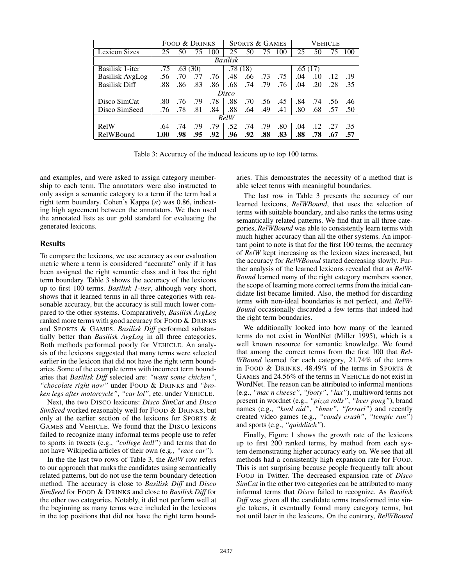|                        | FOOD & DRINKS |         |     | <b>SPORTS &amp; GAMES</b> |         |     | <b>VEHICLE</b> |     |         |     |     |     |
|------------------------|---------------|---------|-----|---------------------------|---------|-----|----------------|-----|---------|-----|-----|-----|
| <b>Lexicon Sizes</b>   | 25            | 50      | 75  | 100                       | 25      | 50  | 75             | 100 | 25      | 50  | 75  | 100 |
| <b>Basilisk</b>        |               |         |     |                           |         |     |                |     |         |     |     |     |
| Basilisk 1-iter        | .75           | .63(30) |     |                           | .78(18) |     |                |     | .65(17) |     |     |     |
| <b>Basilisk AvgLog</b> | .56           | .70     |     | .76                       | .48     | .66 | .73            | .75 | .04     | .10 | .12 | .19 |
| <b>Basilisk Diff</b>   | .88           | .86     | .83 | .86                       | .68     | .74 | .79            | .76 | .04     | .20 | .28 | .35 |
| Disco                  |               |         |     |                           |         |     |                |     |         |     |     |     |
| Disco SimCat           | .80           | .76     | .79 | .78                       | .88     | .70 | .56            | .45 | .84     | .74 | .56 | .46 |
| Disco SimSeed          | .76           | .78     | .81 | .84                       | .88     | .64 | .49            | .41 | .80     | .68 | .57 | .50 |
| RelW                   |               |         |     |                           |         |     |                |     |         |     |     |     |
| RelW                   | .64           | .74     | .79 | .79                       | .52     | 74  | .79            | .80 | .04     | .12 | .27 | .35 |
| RelWBound              | 1.00          | .98     | .95 | .92                       | .96     | .92 | .88            | .83 | .88     | .78 | .67 | .57 |

Table 3: Accuracy of the induced lexicons up to top 100 terms.

and examples, and were asked to assign category membership to each term. The annotators were also instructed to only assign a semantic category to a term if the term had a right term boundary. Cohen's Kappa  $(\kappa)$  was 0.86, indicating high agreement between the annotators. We then used the annotated lists as our gold standard for evaluating the generated lexicons.

### **Results**

To compare the lexicons, we use accuracy as our evaluation metric where a term is considered "accurate" only if it has been assigned the right semantic class and it has the right term boundary. Table 3 shows the accuracy of the lexicons up to first 100 terms. *Basilisk 1-iter*, although very short, shows that it learned terms in all three categories with reasonable accuracy, but the accuracy is still much lower compared to the other systems. Comparatively, *Basilisk AvgLog* ranked more terms with good accuracy for FOOD & DRINKS and SPORTS & GAMES. *Basilisk Diff* performed substantially better than *Basilisk AvgLog* in all three categories. Both methods performed poorly for VEHICLE. An analysis of the lexicons suggested that many terms were selected earlier in the lexicon that did not have the right term boundaries. Some of the example terms with incorrect term boundaries that *Basilisk Diff* selected are: *"want some chicken"*, *"chocolate right now"* under FOOD & DRINKS and *"broken legs after motorcycle"*, *"car lol"*, etc. under VEHICLE.

Next, the two DISCO lexicons: *Disco SimCat* and *Disco SimSeed* worked reasonably well for FOOD & DRINKS, but only at the earlier section of the lexicons for SPORTS & GAMES and VEHICLE. We found that the DISCO lexicons failed to recognize many informal terms people use to refer to sports in tweets (e.g., *"college ball"*) and terms that do not have Wikipedia articles of their own (e.g., *"race car"*).

In the the last two rows of Table 3, the *RelW* row refers to our approach that ranks the candidates using semantically related patterns, but do not use the term boundary detection method. The accuracy is close to *Basilisk Diff* and *Disco SimSeed* for FOOD & DRINKS and close to *Basilisk Diff* for the other two categories. Notably, it did not perform well at the beginning as many terms were included in the lexicons in the top positions that did not have the right term boundaries. This demonstrates the necessity of a method that is able select terms with meaningful boundaries.

The last row in Table 3 presents the accuracy of our learned lexicons, *RelWBound*, that uses the selection of terms with suitable boundary, and also ranks the terms using semantically related patterns. We find that in all three categories, *RelWBound* was able to consistently learn terms with much higher accuracy than all the other systems. An important point to note is that for the first 100 terms, the accuracy of *RelW* kept increasing as the lexicon sizes increased, but the accuracy for *RelWBound* started decreasing slowly. Further analysis of the learned lexicons revealed that as *RelW-Bound* learned many of the right category members sooner, the scope of learning more correct terms from the initial candidate list became limited. Also, the method for discarding terms with non-ideal boundaries is not perfect, and *RelW-Bound* occasionally discarded a few terms that indeed had the right term boundaries.

We additionally looked into how many of the learned terms do not exist in WordNet (Miller 1995), which is a well known resource for semantic knowledge. We found that among the correct terms from the first 100 that *Rel-WBound* learned for each category, 21.74% of the terms in FOOD & DRINKS, 48.49% of the terms in SPORTS & GAMES and 24.56% of the terms in VEHICLE do not exist in WordNet. The reason can be attributed to informal mentions (e.g., *"mac n cheese"*, *"footy"*, *"lax"*), multiword terms not present in wordnet (e.g., *"pizza rolls"*, *"beer pong"*), brand names (e.g., *"kool aid"*, *"bmw"*, *"ferrari"*) and recently created video games (e.g., *"candy crush"*, *"temple run"*) and sports (e.g., *"quidditch"*).

Finally, Figure 1 shows the growth rate of the lexicons up to first 200 ranked terms, by method from each system demonstrating higher accuracy early on. We see that all methods had a consistently high expansion rate for FOOD. This is not surprising because people frequently talk about FOOD in Twitter. The decreased expansion rate of *Disco SimCat* in the other two categories can be attributed to many informal terms that *Disco* failed to recognize. As *Basilisk Diff* was given all the candidate terms transformed into single tokens, it eventually found many category terms, but not until later in the lexicons. On the contrary, *RelWBound*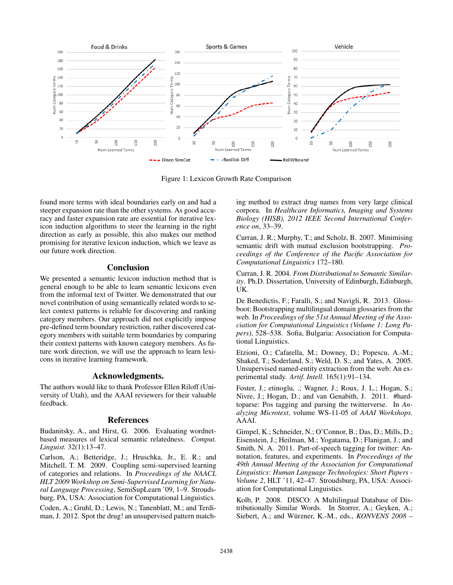

Figure 1: Lexicon Growth Rate Comparison

found more terms with ideal boundaries early on and had a steeper expansion rate than the other systems. As good accuracy and faster expansion rate are essential for iterative lexicon induction algorithms to steer the learning in the right direction as early as possible, this also makes our method promising for iterative lexicon induction, which we leave as our future work direction.

# Conclusion

We presented a semantic lexicon induction method that is general enough to be able to learn semantic lexicons even from the informal text of Twitter. We demonstrated that our novel contribution of using semantically related words to select context patterns is reliable for discovering and ranking category members. Our approach did not explicitly impose pre-defined term boundary restriction, rather discovered category members with suitable term boundaries by comparing their context patterns with known category members. As future work direction, we will use the approach to learn lexicons in iterative learning framework.

# Acknowledgments.

The authors would like to thank Professor Ellen Riloff (University of Utah), and the AAAI reviewers for their valuable feedback.

## References

Budanitsky, A., and Hirst, G. 2006. Evaluating wordnetbased measures of lexical semantic relatedness. *Comput. Linguist.* 32(1):13–47.

Carlson, A.; Betteridge, J.; Hruschka, Jr., E. R.; and Mitchell, T. M. 2009. Coupling semi-supervised learning of categories and relations. In *Proceedings of the NAACL HLT 2009 Workshop on Semi-Supervised Learning for Natural Language Processing*, SemiSupLearn '09, 1–9. Stroudsburg, PA, USA: Association for Computational Linguistics. Coden, A.; Gruhl, D.; Lewis, N.; Tanenblatt, M.; and Terdiman, J. 2012. Spot the drug! an unsupervised pattern matching method to extract drug names from very large clinical corpora. In *Healthcare Informatics, Imaging and Systems Biology (HISB), 2012 IEEE Second International Conference on*, 33–39.

Curran, J. R.; Murphy, T.; and Scholz, B. 2007. Minimising semantic drift with mutual exclusion bootstrapping. *Proceedings of the Conference of the Pacific Association for Computational Linguistics* 172–180.

Curran, J. R. 2004. *From Distributional to Semantic Similarity*. Ph.D. Dissertation, University of Edinburgh, Edinburgh, UK.

De Benedictis, F.; Faralli, S.; and Navigli, R. 2013. Glossboot: Bootstrapping multilingual domain glossaries from the web. In *Proceedings of the 51st Annual Meeting of the Association for Computational Linguistics (Volume 1: Long Papers)*, 528–538. Sofia, Bulgaria: Association for Computational Linguistics.

Etzioni, O.; Cafarella, M.; Downey, D.; Popescu, A.-M.; Shaked, T.; Soderland, S.; Weld, D. S.; and Yates, A. 2005. Unsupervised named-entity extraction from the web: An experimental study. *Artif. Intell.* 165(1):91–134.

Foster, J.; etinoglu, .; Wagner, J.; Roux, J. L.; Hogan, S.; Nivre, J.; Hogan, D.; and van Genabith, J. 2011. #hardtoparse: Pos tagging and parsing the twitterverse. In *Analyzing Microtext*, volume WS-11-05 of *AAAI Workshops*. AAAI.

Gimpel, K.; Schneider, N.; O'Connor, B.; Das, D.; Mills, D.; Eisenstein, J.; Heilman, M.; Yogatama, D.; Flanigan, J.; and Smith, N. A. 2011. Part-of-speech tagging for twitter: Annotation, features, and experiments. In *Proceedings of the 49th Annual Meeting of the Association for Computational Linguistics: Human Language Technologies: Short Papers - Volume 2*, HLT '11, 42–47. Stroudsburg, PA, USA: Association for Computational Linguistics.

Kolb, P. 2008. DISCO: A Multilingual Database of Distributionally Similar Words. In Storrer, A.; Geyken, A.; Siebert, A.; and Würzner, K.-M., eds., *KONVENS* 2008 –